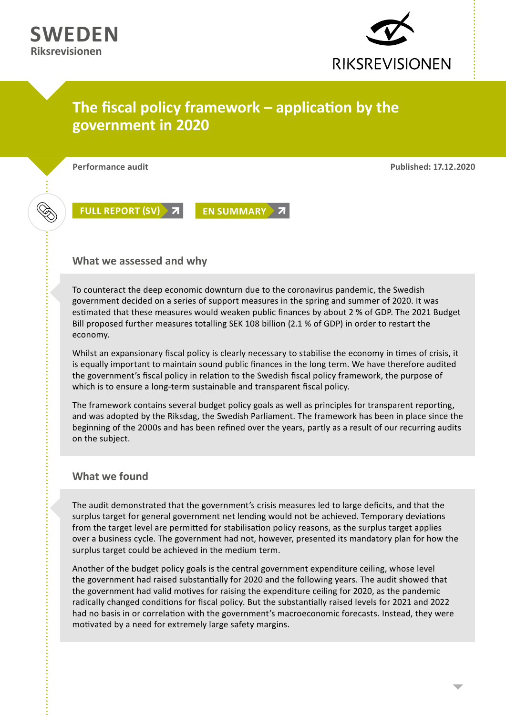

## **The fiscal policy framework – application by the government in 2020**

**Performance audit Published: 17.12.2020**

**[FULL REPORT \(SV\)](https://www.riksrevisionen.se/download/18.78abb6c61764bda823b43426/1608109048035/RiR 2020_29 Anpassad.pdf) > 7 [EN SUMMARY](https://www.riksrevisionen.se/download/18.78cdca4f1770d3923573fc74/1611224599583/RiR 2020_29 GB.pdf) > 7** 

**What we assessed and why**

To counteract the deep economic downturn due to the coronavirus pandemic, the Swedish government decided on a series of support measures in the spring and summer of 2020. It was estimated that these measures would weaken public finances by about 2 % of GDP. The 2021 Budget Bill proposed further measures totalling SEK 108 billion (2.1 % of GDP) in order to restart the economy.

Whilst an expansionary fiscal policy is clearly necessary to stabilise the economy in times of crisis, it is equally important to maintain sound public finances in the long term. We have therefore audited the government's fiscal policy in relation to the Swedish fiscal policy framework, the purpose of which is to ensure a long-term sustainable and transparent fiscal policy.

The framework contains several budget policy goals as well as principles for transparent reporting, and was adopted by the Riksdag, the Swedish Parliament. The framework has been in place since the beginning of the 2000s and has been refined over the years, partly as a result of our recurring audits on the subject.

## **What we found**

The audit demonstrated that the government's crisis measures led to large deficits, and that the surplus target for general government net lending would not be achieved. Temporary deviations from the target level are permitted for stabilisation policy reasons, as the surplus target applies over a business cycle. The government had not, however, presented its mandatory plan for how the surplus target could be achieved in the medium term.

Another of the budget policy goals is the central government expenditure ceiling, whose level the government had raised substantially for 2020 and the following years. The audit showed that the government had valid motives for raising the expenditure ceiling for 2020, as the pandemic radically changed conditions for fiscal policy. But the substantially raised levels for 2021 and 2022 had no basis in or correlation with the government's macroeconomic forecasts. Instead, they were motivated by a need for extremely large safety margins.